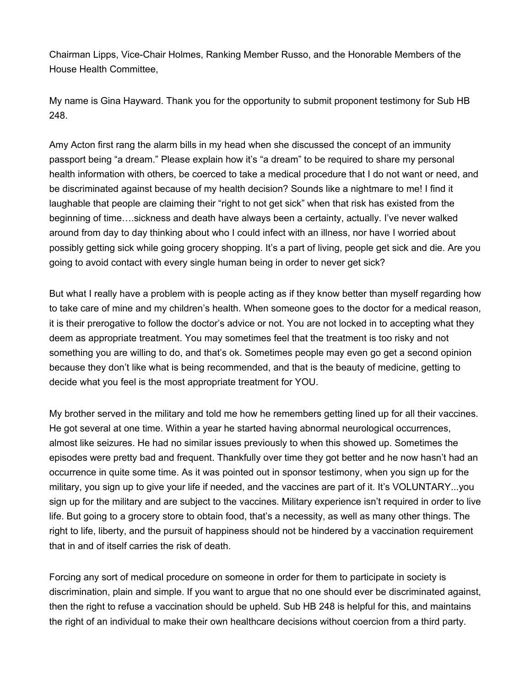Chairman Lipps, Vice-Chair Holmes, Ranking Member Russo, and the Honorable Members of the House Health Committee,

My name is Gina Hayward. Thank you for the opportunity to submit proponent testimony for Sub HB 248.

Amy Acton first rang the alarm bills in my head when she discussed the concept of an immunity passport being "a dream." Please explain how it's "a dream" to be required to share my personal health information with others, be coerced to take a medical procedure that I do not want or need, and be discriminated against because of my health decision? Sounds like a nightmare to me! I find it laughable that people are claiming their "right to not get sick" when that risk has existed from the beginning of time….sickness and death have always been a certainty, actually. I've never walked around from day to day thinking about who I could infect with an illness, nor have I worried about possibly getting sick while going grocery shopping. It's a part of living, people get sick and die. Are you going to avoid contact with every single human being in order to never get sick?

But what I really have a problem with is people acting as if they know better than myself regarding how to take care of mine and my children's health. When someone goes to the doctor for a medical reason, it is their prerogative to follow the doctor's advice or not. You are not locked in to accepting what they deem as appropriate treatment. You may sometimes feel that the treatment is too risky and not something you are willing to do, and that's ok. Sometimes people may even go get a second opinion because they don't like what is being recommended, and that is the beauty of medicine, getting to decide what you feel is the most appropriate treatment for YOU.

My brother served in the military and told me how he remembers getting lined up for all their vaccines. He got several at one time. Within a year he started having abnormal neurological occurrences, almost like seizures. He had no similar issues previously to when this showed up. Sometimes the episodes were pretty bad and frequent. Thankfully over time they got better and he now hasn't had an occurrence in quite some time. As it was pointed out in sponsor testimony, when you sign up for the military, you sign up to give your life if needed, and the vaccines are part of it. It's VOLUNTARY...you sign up for the military and are subject to the vaccines. Military experience isn't required in order to live life. But going to a grocery store to obtain food, that's a necessity, as well as many other things. The right to life, liberty, and the pursuit of happiness should not be hindered by a vaccination requirement that in and of itself carries the risk of death.

Forcing any sort of medical procedure on someone in order for them to participate in society is discrimination, plain and simple. If you want to argue that no one should ever be discriminated against, then the right to refuse a vaccination should be upheld. Sub HB 248 is helpful for this, and maintains the right of an individual to make their own healthcare decisions without coercion from a third party.